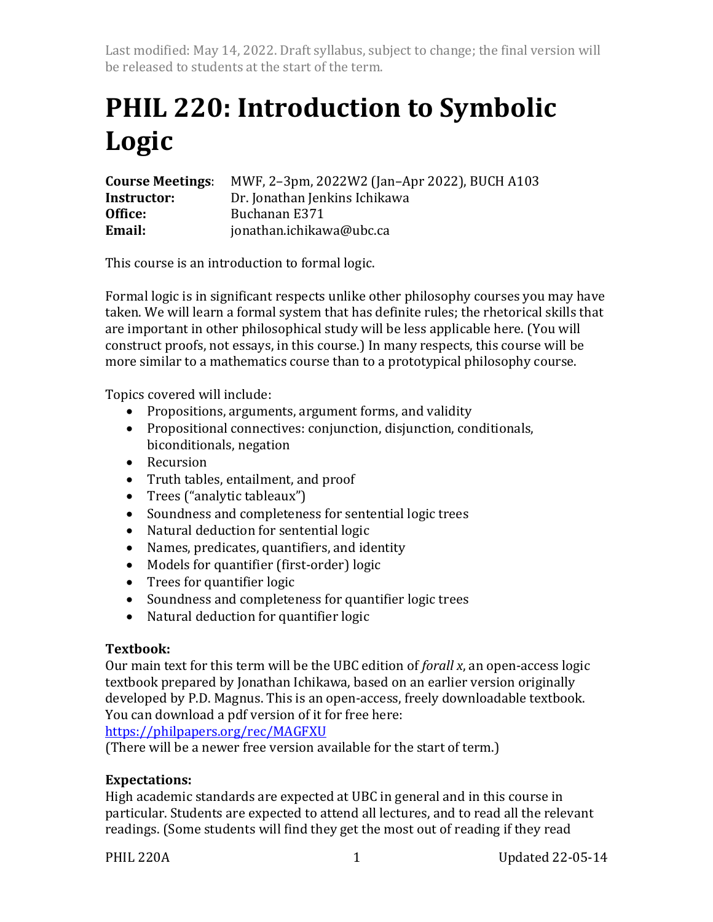Last modified: May 14, 2022. Draft syllabus, subject to change; the final version will be released to students at the start of the term.

# **PHIL 220: Introduction to Symbolic Logic**

| <b>Course Meetings:</b> | MWF, 2-3pm, 2022W2 (Jan-Apr 2022), BUCH A103 |
|-------------------------|----------------------------------------------|
| Instructor:             | Dr. Jonathan Jenkins Ichikawa                |
| Office:                 | Buchanan E371                                |
| Email:                  | jonathan.ichikawa@ubc.ca                     |

This course is an introduction to formal logic.

Formal logic is in significant respects unlike other philosophy courses you may have taken. We will learn a formal system that has definite rules; the rhetorical skills that are important in other philosophical study will be less applicable here. (You will construct proofs, not essays, in this course.) In many respects, this course will be more similar to a mathematics course than to a prototypical philosophy course.

Topics covered will include:

- Propositions, arguments, argument forms, and validity
- Propositional connectives: conjunction, disjunction, conditionals, biconditionals, negation
- Recursion
- Truth tables, entailment, and proof
- Trees ("analytic tableaux")
- Soundness and completeness for sentential logic trees
- Natural deduction for sentential logic
- Names, predicates, quantifiers, and identity
- Models for quantifier (first-order) logic
- Trees for quantifier logic
- Soundness and completeness for quantifier logic trees
- Natural deduction for quantifier logic

## **Textbook:**

Our main text for this term will be the UBC edition of *forall x*, an open-access logic textbook prepared by Jonathan Ichikawa, based on an earlier version originally developed by P.D. Magnus. This is an open-access, freely downloadable textbook. You can download a pdf version of it for free here:

https://philpapers.org/rec/MAGFXU

(There will be a newer free version available for the start of term.)

## **Expectations:**

High academic standards are expected at UBC in general and in this course in particular. Students are expected to attend all lectures, and to read all the relevant readings. (Some students will find they get the most out of reading if they read

PHIL 220A 1 Updated 22-05-14